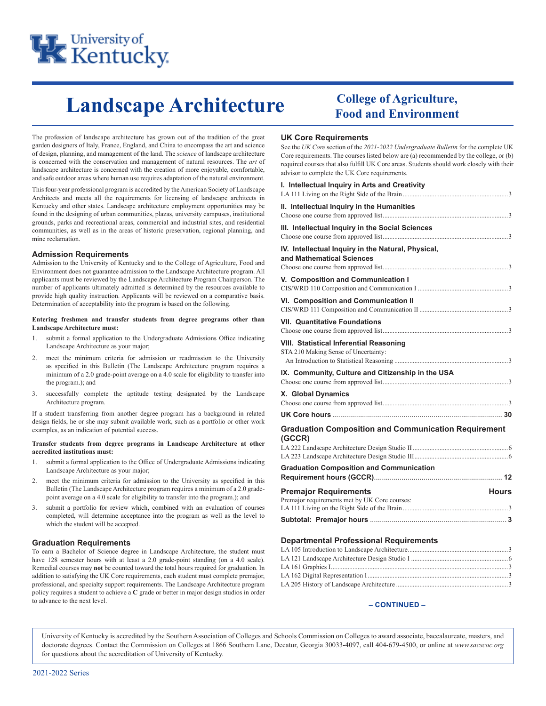

# **College of Agriculture, Landscape Architecture Food and Environment**

The profession of landscape architecture has grown out of the tradition of the great garden designers of Italy, France, England, and China to encompass the art and science of design, planning, and management of the land. The *science* of landscape architecture is concerned with the conservation and management of natural resources. The *art* of landscape architecture is concerned with the creation of more enjoyable, comfortable, and safe outdoor areas where human use requires adaptation of the natural environment.

This four-year professional program is accredited by the American Society of Landscape Architects and meets all the requirements for licensing of landscape architects in Kentucky and other states. Landscape architecture employment opportunities may be found in the designing of urban communities, plazas, university campuses, institutional grounds, parks and recreational areas, commercial and industrial sites, and residential communities, as well as in the areas of historic preservation, regional planning, and mine reclamation.

#### **Admission Requirements**

Admission to the University of Kentucky and to the College of Agriculture, Food and Environment does not guarantee admission to the Landscape Architecture program. All applicants must be reviewed by the Landscape Architecture Program Chairperson. The number of applicants ultimately admitted is determined by the resources available to provide high quality instruction. Applicants will be reviewed on a comparative basis. Determination of acceptability into the program is based on the following.

#### **Entering freshmen and transfer students from degree programs other than Landscape Architecture must:**

- 1. submit a formal application to the Undergraduate Admissions Office indicating Landscape Architecture as your major;
- 2. meet the minimum criteria for admission or readmission to the University as specified in this Bulletin (The Landscape Architecture program requires a minimum of a 2.0 grade-point average on a 4.0 scale for eligibility to transfer into the program.); and
- 3. successfully complete the aptitude testing designated by the Landscape Architecture program.

If a student transferring from another degree program has a background in related design fields, he or she may submit available work, such as a portfolio or other work examples, as an indication of potential success.

#### **Transfer students from degree programs in Landscape Architecture at other accredited institutions must:**

- 1. submit a formal application to the Office of Undergraduate Admissions indicating Landscape Architecture as your major;
- 2. meet the minimum criteria for admission to the University as specified in this Bulletin (The Landscape Architecture program requires a minimum of a 2.0 gradepoint average on a 4.0 scale for eligibility to transfer into the program.); and
- 3. submit a portfolio for review which, combined with an evaluation of courses completed, will determine acceptance into the program as well as the level to which the student will be accepted.

#### **Graduation Requirements**

To earn a Bachelor of Science degree in Landscape Architecture, the student must have 128 semester hours with at least a 2.0 grade-point standing (on a 4.0 scale). Remedial courses may **not** be counted toward the total hours required for graduation. In addition to satisfying the UK Core requirements, each student must complete premajor, professional, and specialty support requirements. The Landscape Architecture program policy requires a student to achieve a **C** grade or better in major design studios in order to advance to the next level.

#### **UK Core Requirements**

See the *UK Core* section of the *2021-2022 Undergraduate Bulletin* for the complete UK Core requirements. The courses listed below are (a) recommended by the college, or (b) required courses that also fulfill UK Core areas. Students should work closely with their advisor to complete the UK Core requirements.

| I. Intellectual Inquiry in Arts and Creativity                                                |
|-----------------------------------------------------------------------------------------------|
| II. Intellectual Inquiry in the Humanities                                                    |
| III. Intellectual Inquiry in the Social Sciences                                              |
| IV. Intellectual Inquiry in the Natural, Physical,<br>and Mathematical Sciences               |
| V. Composition and Communication I                                                            |
| VI. Composition and Communication II                                                          |
| <b>VII. Quantitative Foundations</b>                                                          |
| <b>VIII. Statistical Inferential Reasoning</b><br>STA 210 Making Sense of Uncertainty:        |
| IX. Community, Culture and Citizenship in the USA                                             |
| X. Global Dynamics                                                                            |
|                                                                                               |
| <b>Graduation Composition and Communication Requirement</b><br>(GCCR)                         |
|                                                                                               |
| <b>Graduation Composition and Communication</b>                                               |
| <b>Premajor Requirements</b><br><b>Hours</b><br>Premajor requirements met by UK Core courses: |

#### **Departmental Professional Requirements**

**Subtotal: Premajor hours** ..................................................................... **3**

#### **– CONTINUED –**

University of Kentucky is accredited by the Southern Association of Colleges and Schools Commission on Colleges to award associate, baccalaureate, masters, and doctorate degrees. Contact the Commission on Colleges at 1866 Southern Lane, Decatur, Georgia 30033-4097, call 404-679-4500, or online at *www.sacscoc.org* for questions about the accreditation of University of Kentucky.